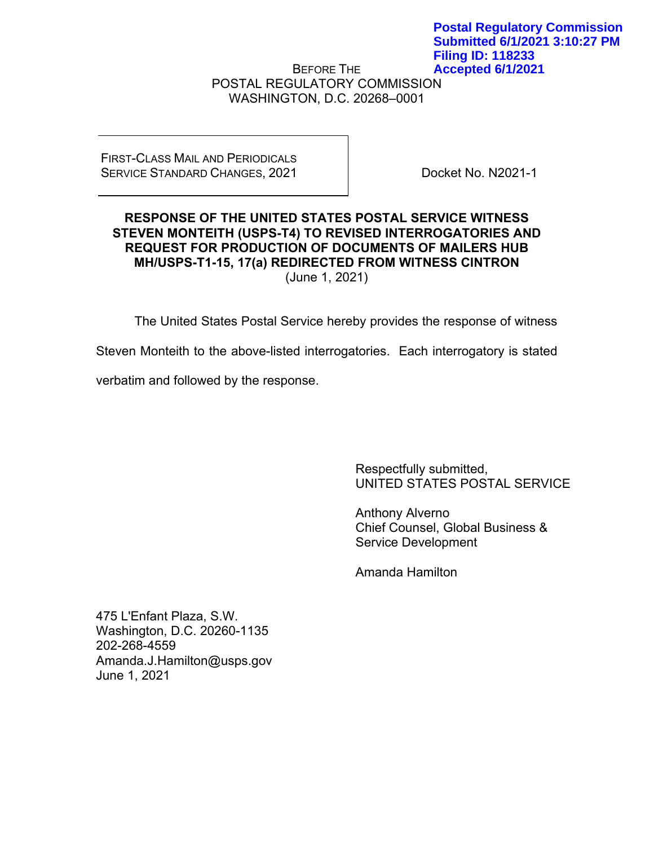BEFORE THE POSTAL REGULATORY COMMISSION WASHINGTON, D.C. 20268–0001 **Filing ID: 118233 Accepted 6/1/2021**

### FIRST-CLASS MAIL AND PERIODICALS SERVICE STANDARD CHANGES, 2021

Docket No. N2021-1

**Postal Regulatory Commission Submitted 6/1/2021 3:10:27 PM**

## **RESPONSE OF THE UNITED STATES POSTAL SERVICE WITNESS STEVEN MONTEITH (USPS-T4) TO REVISED INTERROGATORIES AND REQUEST FOR PRODUCTION OF DOCUMENTS OF MAILERS HUB MH/USPS-T1-15, 17(a) REDIRECTED FROM WITNESS CINTRON** (June 1, 2021)

The United States Postal Service hereby provides the response of witness

Steven Monteith to the above-listed interrogatories. Each interrogatory is stated

verbatim and followed by the response.

Respectfully submitted, UNITED STATES POSTAL SERVICE

Anthony Alverno Chief Counsel, Global Business & Service Development

Amanda Hamilton

475 L'Enfant Plaza, S.W. Washington, D.C. 20260-1135 202-268-4559 Amanda.J.Hamilton@usps.gov June 1, 2021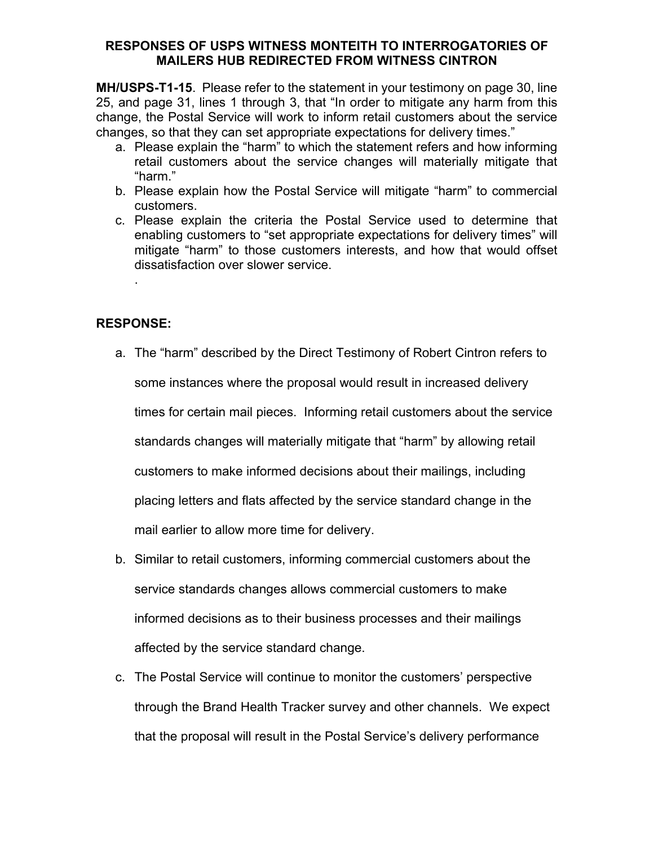## **RESPONSES OF USPS WITNESS MONTEITH TO INTERROGATORIES OF MAILERS HUB REDIRECTED FROM WITNESS CINTRON**

**MH/USPS-T1-15**. Please refer to the statement in your testimony on page 30, line 25, and page 31, lines 1 through 3, that "In order to mitigate any harm from this change, the Postal Service will work to inform retail customers about the service changes, so that they can set appropriate expectations for delivery times."

- a. Please explain the "harm" to which the statement refers and how informing retail customers about the service changes will materially mitigate that "harm."
- b. Please explain how the Postal Service will mitigate "harm" to commercial customers.
- c. Please explain the criteria the Postal Service used to determine that enabling customers to "set appropriate expectations for delivery times" will mitigate "harm" to those customers interests, and how that would offset dissatisfaction over slower service.

# **RESPONSE:**

.

- a. The "harm" described by the Direct Testimony of Robert Cintron refers to some instances where the proposal would result in increased delivery times for certain mail pieces. Informing retail customers about the service standards changes will materially mitigate that "harm" by allowing retail customers to make informed decisions about their mailings, including placing letters and flats affected by the service standard change in the mail earlier to allow more time for delivery.
- b. Similar to retail customers, informing commercial customers about the service standards changes allows commercial customers to make informed decisions as to their business processes and their mailings affected by the service standard change.
- c. The Postal Service will continue to monitor the customers' perspective through the Brand Health Tracker survey and other channels. We expect that the proposal will result in the Postal Service's delivery performance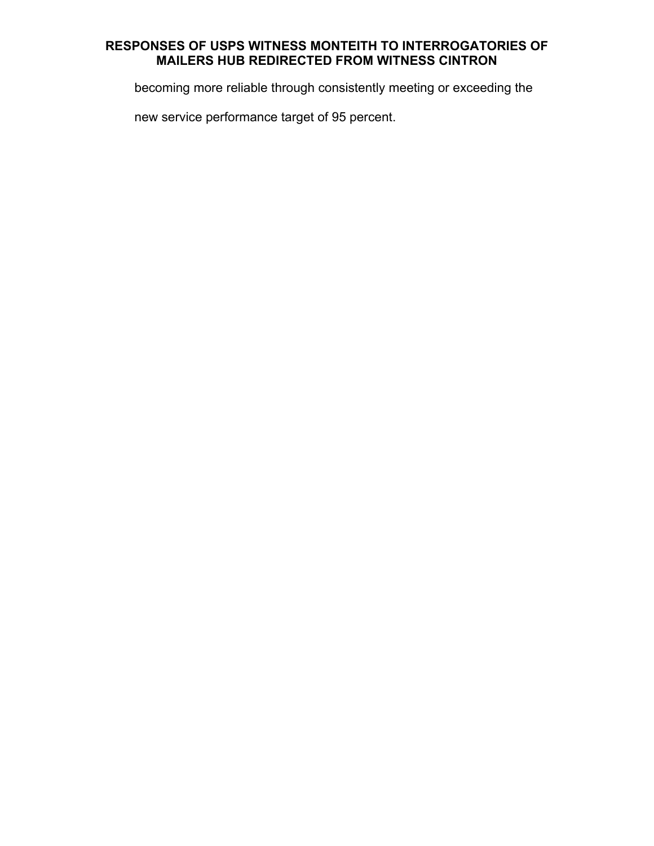# **RESPONSES OF USPS WITNESS MONTEITH TO INTERROGATORIES OF MAILERS HUB REDIRECTED FROM WITNESS CINTRON**

becoming more reliable through consistently meeting or exceeding the

new service performance target of 95 percent.